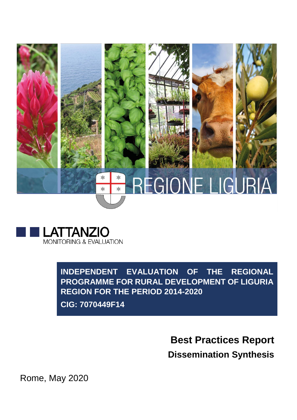



**INDEPENDENT EVALUATION OF THE REGIONAL PROGRAMME FOR RURAL DEVELOPMENT OF LIGURIA REGION FOR THE PERIOD 2014-2020** 

**CIG: 7070449F14**

**Best Practices Report Dissemination Synthesis**

Rome, May 2020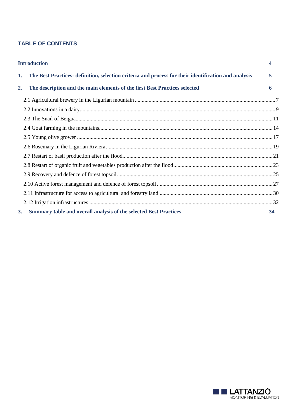# **TABLE OF CONTENTS**

|    | <b>Introduction</b>                                                                                  |    |
|----|------------------------------------------------------------------------------------------------------|----|
| 1. | The Best Practices: definition, selection criteria and process for their identification and analysis | 5  |
| 2. | The description and the main elements of the first Best Practices selected                           | 6  |
|    |                                                                                                      |    |
|    |                                                                                                      |    |
|    |                                                                                                      |    |
|    |                                                                                                      |    |
|    |                                                                                                      |    |
|    |                                                                                                      |    |
|    |                                                                                                      |    |
|    |                                                                                                      |    |
|    |                                                                                                      |    |
|    |                                                                                                      |    |
|    |                                                                                                      |    |
|    |                                                                                                      |    |
| 3. | Summary table and overall analysis of the selected Best Practices                                    | 34 |

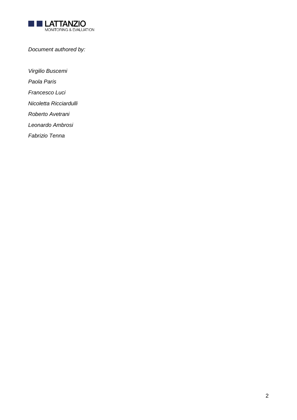

*Document authored by:*

*Virgilio Buscemi*

*Paola Paris*

*Francesco Luci*

*Nicoletta Ricciardulli*

*Roberto Avetrani*

*Leonardo Ambrosi*

*Fabrizio Tenna*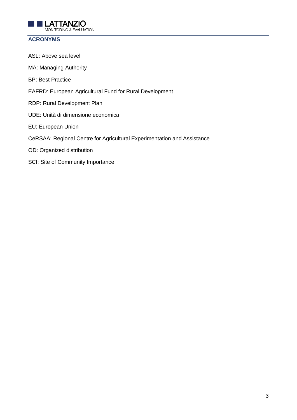

# **ACRONYMS**

ASL: Above sea level MA: Managing Authority BP: Best Practice EAFRD: European Agricultural Fund for Rural Development RDP: Rural Development Plan UDE: Unità di dimensione economica EU: European Union CeRSAA: Regional Centre for Agricultural Experimentation and Assistance OD: Organized distribution SCI: Site of Community Importance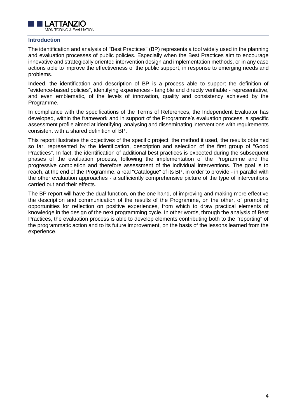

#### <span id="page-4-0"></span>**Introduction**

The identification and analysis of "Best Practices" (BP) represents a tool widely used in the planning and evaluation processes of public policies. Especially when the Best Practices aim to encourage innovative and strategically oriented intervention design and implementation methods, or in any case actions able to improve the effectiveness of the public support, in response to emerging needs and problems.

Indeed, the identification and description of BP is a process able to support the definition of "evidence-based policies", identifying experiences - tangible and directly verifiable - representative, and even emblematic, of the levels of innovation, quality and consistency achieved by the Programme.

In compliance with the specifications of the Terms of References, the Independent Evaluator has developed, within the framework and in support of the Programme's evaluation process, a specific assessment profile aimed at identifying, analysing and disseminating interventions with requirements consistent with a shared definition of BP.

This report illustrates the objectives of the specific project, the method it used, the results obtained so far, represented by the identification, description and selection of the first group of "Good Practices". In fact, the identification of additional best practices is expected during the subsequent phases of the evaluation process, following the implementation of the Programme and the progressive completion and therefore assessment of the individual interventions. The goal is to reach, at the end of the Programme, a real "Catalogue" of its BP, in order to provide - in parallel with the other evaluation approaches - a sufficiently comprehensive picture of the type of interventions carried out and their effects.

The BP report will have the dual function, on the one hand, of improving and making more effective the description and communication of the results of the Programme, on the other, of promoting opportunities for reflection on positive experiences, from which to draw practical elements of knowledge in the design of the next programming cycle. In other words, through the analysis of Best Practices, the evaluation process is able to develop elements contributing both to the "reporting" of the programmatic action and to its future improvement, on the basis of the lessons learned from the experience.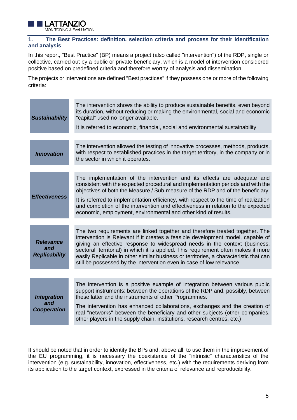

## <span id="page-5-0"></span>**1. The Best Practices: definition, selection criteria and process for their identification and analysis**

In this report, "Best Practice" (BP) means a project (also called "intervention") of the RDP, single or collective, carried out by a public or private beneficiary, which is a model of intervention considered positive based on predefined criteria and therefore worthy of analysis and dissemination.

The projects or interventions are defined "Best practices" if they possess one or more of the following criteria:

| <b>Sustainability</b>                           | The intervention shows the ability to produce sustainable benefits, even beyond<br>its duration, without reducing or making the environmental, social and economic<br>"capital" used no longer available.<br>It is referred to economic, financial, social and environmental sustainability.                                                                                                                                                                                                           |
|-------------------------------------------------|--------------------------------------------------------------------------------------------------------------------------------------------------------------------------------------------------------------------------------------------------------------------------------------------------------------------------------------------------------------------------------------------------------------------------------------------------------------------------------------------------------|
|                                                 |                                                                                                                                                                                                                                                                                                                                                                                                                                                                                                        |
| <b>Innovation</b>                               | The intervention allowed the testing of innovative processes, methods, products,<br>with respect to established practices in the target territory, in the company or in<br>the sector in which it operates.                                                                                                                                                                                                                                                                                            |
|                                                 |                                                                                                                                                                                                                                                                                                                                                                                                                                                                                                        |
| <b>Effectiveness</b>                            | The implementation of the intervention and its effects are adequate and<br>consistent with the expected procedural and implementation periods and with the<br>objectives of both the Measure / Sub-measure of the RDP and of the beneficiary.                                                                                                                                                                                                                                                          |
|                                                 | It is referred to implementation efficiency, with respect to the time of realization<br>and completion of the intervention and effectiveness in relation to the expected<br>economic, employment, environmental and other kind of results.                                                                                                                                                                                                                                                             |
|                                                 |                                                                                                                                                                                                                                                                                                                                                                                                                                                                                                        |
| <b>Relevance</b><br>and<br><b>Replicability</b> | The two requirements are linked together and therefore treated together. The<br>intervention is Relevant if it creates a feasible development model, capable of<br>giving an effective response to widespread needs in the context (business,<br>sectoral, territorial) in which it is applied. This requirement often makes it more<br>easily Replicable in other similar business or territories, a characteristic that can<br>still be possessed by the intervention even in case of low relevance. |
|                                                 |                                                                                                                                                                                                                                                                                                                                                                                                                                                                                                        |
| <b>Integration</b><br>and                       | The intervention is a positive example of integration between various public<br>support instruments: between the operations of the RDP and, possibly, between<br>these latter and the instruments of other Programmes.                                                                                                                                                                                                                                                                                 |
| <b>Cooperation</b>                              | The intervention has enhanced collaborations, exchanges and the creation of<br>real "networks" between the beneficiary and other subjects (other companies,<br>other players in the supply chain, institutions, research centres, etc.)                                                                                                                                                                                                                                                                |

It should be noted that in order to identify the BPs and, above all, to use them in the improvement of the EU programming, it is necessary the coexistence of the "intrinsic" characteristics of the intervention (e.g. sustainability, innovation, effectiveness, etc.) with the requirements deriving from its application to the target context, expressed in the criteria of relevance and reproducibility.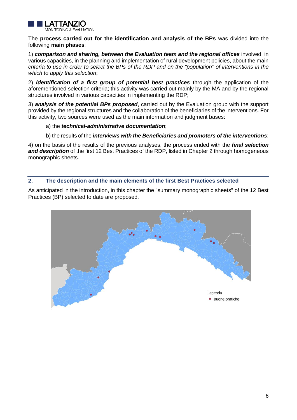

The **process carried out for the identification and analysis of the BPs** was divided into the following **main phases**:

1) *comparison and sharing, between the Evaluation team and the regional offices* involved, in various capacities, in the planning and implementation of rural development policies, about the main *criteria to use in order to select the BPs of the RDP and on the "population" of interventions in the which to apply this selection*;

2) *identification of a first group of potential best practices* through the application of the aforementioned selection criteria; this activity was carried out mainly by the MA and by the regional structures involved in various capacities in implementing the RDP;

3) *analysis of the potential BPs proposed*, carried out by the Evaluation group with the support provided by the regional structures and the collaboration of the beneficiaries of the interventions. For this activity, two sources were used as the main information and judgment bases:

a) the *technical-administrative documentation*;

b) the results of the *interviews with the Beneficiaries and promoters of the interventions*;

4) on the basis of the results of the previous analyses, the process ended with the *final selection*  **and description** of the first 12 Best Practices of the RDP, listed in Chapter 2 through homogeneous monographic sheets.

## <span id="page-6-0"></span>**2. The description and the main elements of the first Best Practices selected**

As anticipated in the introduction, in this chapter the "summary monographic sheets" of the 12 Best Practices (BP) selected to date are proposed.

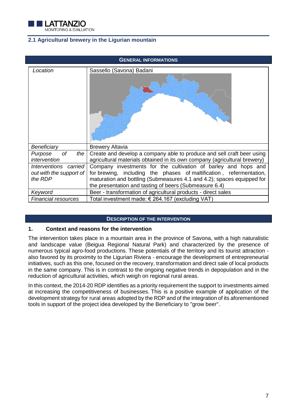

# <span id="page-7-0"></span>**2.1 Agricultural brewery in the Ligurian mountain**

| <b>GENERAL INFORMATIONS</b>                                 |                                                                                                                                                                                                                                                                           |  |
|-------------------------------------------------------------|---------------------------------------------------------------------------------------------------------------------------------------------------------------------------------------------------------------------------------------------------------------------------|--|
| Location                                                    | Sassello (Savona) Badani                                                                                                                                                                                                                                                  |  |
| Beneficiary                                                 | <b>Brewery Altavia</b>                                                                                                                                                                                                                                                    |  |
| of<br>the<br>Purpose<br>intervention                        | Create and develop a company able to produce and sell craft beer using<br>agricultural materials obtained in its own company (agricultural brewery)                                                                                                                       |  |
| Interventions carried<br>out with the support of<br>the RDP | Company investments for the cultivation of barley and hops and<br>for brewing, including the phases of maltification, refermentation,<br>maturation and bottling (Submeasures 4.1 and 4.2); spaces equipped for<br>the presentation and tasting of beers (Submeasure 6.4) |  |
| Keyword                                                     | Beer - transformation of agricultural products - direct sales                                                                                                                                                                                                             |  |
| <b>Financial resources</b>                                  | Total investment made: € 264.167 (excluding VAT)                                                                                                                                                                                                                          |  |

#### **DESCRIPTION OF THE INTERVENTION**

#### **1. Context and reasons for the intervention**

The intervention takes place in a mountain area in the province of Savona, with a high naturalistic and landscape value (Beigua Regional Natural Park) and characterized by the presence of numerous typical agro-food productions. These potentials of the territory and its tourist attraction also favored by its proximity to the Ligurian Riviera - encourage the development of entrepreneurial initiatives, such as this one, focused on the recovery, transformation and direct sale of local products in the same company. This is in contrast to the ongoing negative trends in depopulation and in the reduction of agricultural activities, which weigh on regional rural areas.

In this context, the 2014-20 RDP identifies as a priority requirement the support to investments aimed at increasing the competitiveness of businesses. This is a positive example of application of the development strategy for rural areas adopted by the RDP and of the integration of its aforementioned tools in support of the project idea developed by the Beneficiary to "grow beer".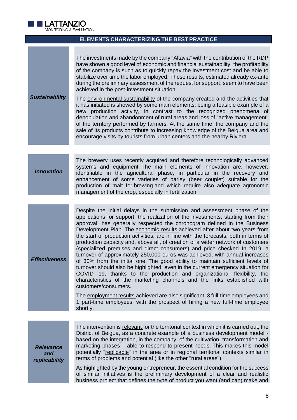

## **ELEMENTS CHARACTERIZING THE BEST PRACTICE**

|          | The investments made by the company "Altavia" with the contribution of the RDP<br>have shown a good level of economic and financial sustainability: the profitability<br>of the company is such as to quickly repay the investment cost and be able to<br>stabilize over time the labor employed. These results, estimated already ex-ante<br>during the preliminary assessment of the request for support, seem to have been                                                                 |
|----------|-----------------------------------------------------------------------------------------------------------------------------------------------------------------------------------------------------------------------------------------------------------------------------------------------------------------------------------------------------------------------------------------------------------------------------------------------------------------------------------------------|
|          | achieved in the post-investment situation.                                                                                                                                                                                                                                                                                                                                                                                                                                                    |
| nability | The environmental sustainability of the company created and the activities that<br>it has initiated is showed by some main elements: being a feasible example of a<br>production activity, in contrast to the recognized phenomena of<br>new<br>depopulation and abandonment of rural areas and loss of "active management"<br>of the territory performed by farmers. At the same time, the company and the<br>sale of its products contribute to increasing knowledge of the Beigua area and |

encourage visits by tourists from urban centers and the nearby Riviera.

#### *Innovation*

*Sustai* 

The brewery uses recently acquired and therefore technologically advanced systems and equipment. The main elements of innovation are, however, identifiable in the agricultural phase, in particular in the recovery and enhancement of some varieties of barley (beer couplet) suitable for the production of malt for brewing and which require also adequate agronomic management of the crop, especially in fertilization.

*Effectiveness* Despite the initial delays in the submission and assessment phase of the applications for support, the realization of the investments, starting from their approval, has generally respected the chronogram defined in the Business Development Plan. The economic results achieved after about two years from the start of production activities, are in line with the forecasts, both in terms of production capacity and, above all, of creation of a wider network of customers (specialized premises and direct consumers) and price checked. In 2019, a turnover of approximately 250,000 euros was achieved, with annual increases of 30% from the initial one. The good ability to maintain sufficient levels of turnover should also be highlighted, even in the current emergency situation for COVID - 19, thanks to the production and organizational flexibility, the characteristics of the marketing channels and the links established with customers/consumers.

> The employment results achieved are also significant: 3 full-time employees and 1 part-time employees, with the prospect of hiring a new full-time employee shortly.

| <b>Relevance</b> |
|------------------|
| and              |
| replicability    |

The intervention is relevant for the territorial context in which it is carried out, the District of Beigua, as a concrete example of a business development model based on the integration, in the company, of the cultivation, transformation and marketing phases – able to respond to present needs. This makes this model potentially "replicable" in the area or in regional territorial contexts similar in terms of problems and potential (like the other "rural areas").

As highlighted by the young entrepreneur, the essential condition for the success of similar initiatives is the preliminary development of a clear and realistic business project that defines the type of product you want (and can) make and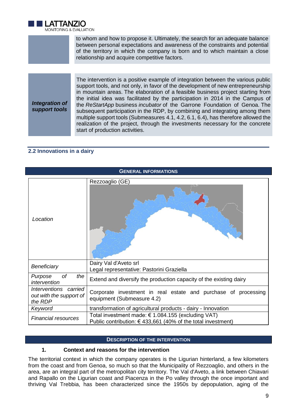

to whom and how to propose it. Ultimately, the search for an adequate balance between personal expectations and awareness of the constraints and potential of the territory in which the company is born and to which maintain a close relationship and acquire competitive factors.

*Integration of support tools*

The intervention is a positive example of integration between the various public support tools, and not only, in favor of the development of new entrepreneurship in mountain areas. The elaboration of a feasible business project starting from the initial idea was facilitated by the participation in 2014 in the Campus of the *ReStartApp* business *incubator* of the Garrone Foundation of Genoa. The subsequent participation in the RDP, by combining and integrating among them multiple support tools (Submeasures 4.1, 4.2, 6.1, 6.4), has therefore allowed the realization of the project, through the investments necessary for the concrete start of production activities.

# <span id="page-9-0"></span>**2.2 Innovations in a dairy**

| <b>GENERAL INFORMATIONS</b>                                 |                                                                                                                      |  |
|-------------------------------------------------------------|----------------------------------------------------------------------------------------------------------------------|--|
| Location                                                    | Rezzoaglio (GE)                                                                                                      |  |
| Beneficiary                                                 | Dairy Val d'Aveto srl<br>Legal representative: Pastorini Graziella                                                   |  |
| <b>of</b><br>the<br>Purpose<br>intervention                 | Extend and diversify the production capacity of the existing dairy                                                   |  |
| Interventions carried<br>out with the support of<br>the RDP | Corporate investment in real estate and purchase of processing<br>equipment (Submeasure 4.2)                         |  |
| Keyword                                                     | transformation of agricultural products - dairy - Innovation                                                         |  |
| <b>Financial resources</b>                                  | Total investment made: € 1.084.155 (excluding VAT)<br>Public contribution: $€$ 433,661 (40% of the total investment) |  |

## **DESCRIPTION OF THE INTERVENTION**

## **1. Context and reasons for the intervention**

The territorial context in which the company operates is the Ligurian hinterland, a few kilometers from the coast and from Genoa, so much so that the Municipality of Rezzoaglio, and others in the area, are an integral part of the metropolitan city territory. The Val d'Aveto, a link between Chiavari and Rapallo on the Ligurian coast and Piacenza in the Po valley through the once important and thriving Val Trebbia, has been characterized since the 1950s by depopulation, aging of the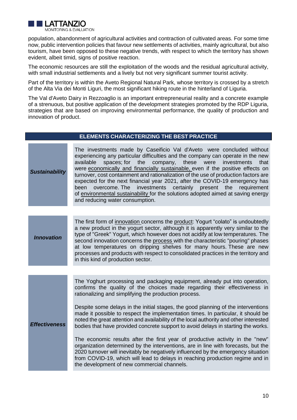

population, abandonment of agricultural activities and contraction of cultivated areas. For some time now, public intervention policies that favour new settlements of activities, mainly agricultural, but also tourism, have been opposed to these negative trends, with respect to which the territory has shown evident, albeit timid, signs of positive reaction.

The economic resources are still the exploitation of the woods and the residual agricultural activity, with small industrial settlements and a lively but not very significant summer tourist activity.

Part of the territory is within the Aveto Regional Natural Park, whose territory is crossed by a stretch of the Alta Via dei Monti Liguri, the most significant hiking route in the hinterland of Liguria.

The Val d'Aveto Dairy in Rezzoaglio is an important entrepreneurial reality and a concrete example of a strenuous, but positive application of the development strategies promoted by the RDP Liguria, strategies that are based on improving environmental performance, the quality of production and innovation of product.

## **ELEMENTS CHARACTERIZING THE BEST PRACTICE**

| <b>Sustainability</b> | The investments made by Caseificio Val d'Aveto were concluded without<br>experiencing any particular difficulties and the company can operate in the new<br>spaces; for<br>the<br>these<br>available<br>company,<br>investments<br>that<br>were<br>were economically and financially sustainable, even if the positive effects on<br>turnover, cost containment and rationalization of the use of production factors are<br>expected for the next financial year 2021, after the COVID-19 emergency has<br>investments<br>overcome. The<br>certainly present<br>been<br>the<br>requirement<br>of environmental sustainability for the solutions adopted aimed at saving energy<br>and reducing water consumption.                                                                                                                                                                                                                                                     |  |
|-----------------------|-----------------------------------------------------------------------------------------------------------------------------------------------------------------------------------------------------------------------------------------------------------------------------------------------------------------------------------------------------------------------------------------------------------------------------------------------------------------------------------------------------------------------------------------------------------------------------------------------------------------------------------------------------------------------------------------------------------------------------------------------------------------------------------------------------------------------------------------------------------------------------------------------------------------------------------------------------------------------|--|
|                       |                                                                                                                                                                                                                                                                                                                                                                                                                                                                                                                                                                                                                                                                                                                                                                                                                                                                                                                                                                       |  |
| <b>Innovation</b>     | The first form of innovation concerns the product: Yogurt "colato" is undoubtedly<br>a new product in the yogurt sector, although it is apparently very similar to the<br>type of "Greek" Yogurt, which however does not acidify at low temperatures. The<br>second innovation concerns the process with the characteristic "pouring" phases<br>at low temperatures on dripping shelves for many hours. These are new<br>processes and products with respect to consolidated practices in the territory and<br>in this kind of production sector.                                                                                                                                                                                                                                                                                                                                                                                                                     |  |
|                       |                                                                                                                                                                                                                                                                                                                                                                                                                                                                                                                                                                                                                                                                                                                                                                                                                                                                                                                                                                       |  |
| <b>Effectiveness</b>  | The Yoghurt processing and packaging equipment, already put into operation,<br>confirms the quality of the choices made regarding their effectiveness in<br>rationalizing and simplifying the production process.<br>Despite some delays in the initial stages, the good planning of the interventions<br>made it possible to respect the implementation times. In particular, it should be<br>noted the great attention and availability of the local authority and other interested<br>bodies that have provided concrete support to avoid delays in starting the works.<br>The economic results after the first year of productive activity in the "new"<br>organization determined by the interventions, are in line with forecasts, but the<br>2020 turnover will inevitably be negatively influenced by the emergency situation<br>from COVID-19, which will lead to delays in reaching production regime and in<br>the development of new commercial channels. |  |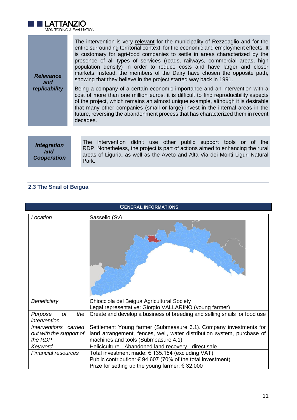

|                         | The intervention is very relevant for the municipality of Rezzoaglio and for the                                                                                                                                                   |
|-------------------------|------------------------------------------------------------------------------------------------------------------------------------------------------------------------------------------------------------------------------------|
|                         | entire surrounding territorial context, for the economic and employment effects. It<br>is customary for agri-food companies to settle in areas characterized by the                                                                |
|                         | presence of all types of services (roads, railways, commercial areas, high<br>population density) in order to reduce costs and have larger and closer<br>markets. Instead, the members of the Dairy have chosen the opposite path, |
| evance<br>and           | showing that they believe in the project started way back in 1991.                                                                                                                                                                 |
| <i><b>icability</b></i> | Being a company of a certain economic importance and an intervention with a<br>cost of more than one million euros, it is difficult to find reproducibility aspects                                                                |

cost of more than one million euros, it is difficult to find reproducibility aspects of the project, which remains an almost unique example, although it is desirable that many other companies (small or large) invest in the internal areas in the future, reversing the abandonment process that has characterized them in recent decades.

*Integration and Cooperation*

*Relevance* 

repi

The intervention didn't use other public support tools or of the RDP. Nonetheless, the project is part of actions aimed to enhancing the rural areas of Liguria, as well as the Aveto and Alta Via dei Monti Liguri Natural Park.

# <span id="page-11-0"></span>**2.3 The Snail of Beigua**

| <b>GENERAL INFORMATIONS</b>                                 |                                                                                                                                                                                    |  |
|-------------------------------------------------------------|------------------------------------------------------------------------------------------------------------------------------------------------------------------------------------|--|
| Location                                                    | Sassello (Sv)                                                                                                                                                                      |  |
| Beneficiary<br>οf<br>the<br>Purpose                         | Chiocciola del Beigua Agricultural Society<br>Legal representative: Giorgio VALLARINO (young farmer)<br>Create and develop a business of breeding and selling snails for food use  |  |
| intervention                                                |                                                                                                                                                                                    |  |
| Interventions carried<br>out with the support of<br>the RDP | Settlement Young farmer (Submeasure 6.1). Company investments for<br>land arrangement, fences, well, water distribution system, purchase of<br>machines and tools (Submeasure 4.1) |  |
| Keyword                                                     | Heliciculture - Abandoned land recovery - direct sale                                                                                                                              |  |
| <b>Financial resources</b>                                  | Total investment made: € 135.154 (excluding VAT)<br>Public contribution: $€ 94,607$ (70% of the total investment)<br>Prize for setting up the young farmer: $\epsilon$ 32,000      |  |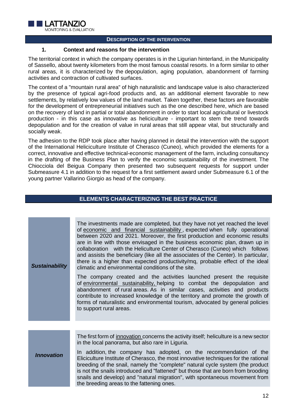

#### **DESCRIPTION OF THE INTERVENTION**

#### **1. Context and reasons for the intervention**

The territorial context in which the company operates is in the Ligurian hinterland, in the Municipality of Sassello, about twenty kilometers from the most famous coastal resorts. In a form similar to other rural areas, it is characterized by the depopulation, aging population, abandonment of farming activities and contraction of cultivated surfaces.

The context of a "mountain rural area" of high naturalistic and landscape value is also characterized by the presence of typical agri-food products and, as an additional element favorable to new settlements, by relatively low values of the land market. Taken together, these factors are favorable for the development of entrepreneurial initiatives such as the one described here, which are based on the recovery of land in partial or total abandonment in order to start local agricultural or livestock production - in this case as innovative as heliciculture - important to stem the trend towards depopulation and for the creation of value in rural areas that still appear vital, but structurally and socially weak.

The adhesion to the RDP took place after having planned in detail the intervention with the support of the International Heliciculture Institute of Cherasco (Cuneo), which provided the elements for a correct, innovative and effective technical-economic management of the farm, including consultancy in the drafting of the Business Plan to verify the economic sustainability of the investment. The Chiocciola del Beigua Company then presented two subsequent requests for support under Submeasure 4.1 in addition to the request for a first settlement award under Submeasure 6.1 of the young partner Vallarino Giorgio as head of the company.

# **ELEMENTS CHARACTERIZING THE BEST PRACTICE**

| <b>Sustainability</b> | The investments made are completed, but they have not yet reached the level<br>of economic and financial sustainability, expected when fully operational<br>between 2020 and 2021. Moreover, the first production and economic results<br>are in line with those envisaged in the business economic plan, drawn up in<br>collaboration with the Heliculture Center of Cherasco (Cuneo) which follows<br>and assists the beneficiary (like all the associates of the Center). In particular,<br>there is a higher than expected productivity/mq, probable effect of the ideal<br>climatic and environmental conditions of the site.<br>The company created and the activities launched present the requisite<br>of environmental sustainability, helping to combat the depopulation and<br>abandonment of rural areas. As in similar cases, activities and products<br>contribute to increased knowledge of the territory and promote the growth of<br>forms of naturalistic and environmental tourism, advocated by general policies<br>to support rural areas. |
|-----------------------|-----------------------------------------------------------------------------------------------------------------------------------------------------------------------------------------------------------------------------------------------------------------------------------------------------------------------------------------------------------------------------------------------------------------------------------------------------------------------------------------------------------------------------------------------------------------------------------------------------------------------------------------------------------------------------------------------------------------------------------------------------------------------------------------------------------------------------------------------------------------------------------------------------------------------------------------------------------------------------------------------------------------------------------------------------------------|
|                       |                                                                                                                                                                                                                                                                                                                                                                                                                                                                                                                                                                                                                                                                                                                                                                                                                                                                                                                                                                                                                                                                 |
| <b>Innovation</b>     | The first form of <i>innovation</i> concerns the activity itself; heliculture is a new sector<br>in the local panorama, but also rare in Liguria.<br>In addition, the company has adopted, on the recommendation of the<br>Eliciculture Institute of Cherasco, the most innovative techniques for the rational<br>breeding of the snail, namely the "complete" natural cycle system (the product<br>is not the snails introduced and "fattened" but those that are born from brooding<br>snails and develop) and "natural migration", with spontaneous movement from<br>the breeding areas to the fattening ones.                                                                                                                                                                                                                                                                                                                                                                                                                                               |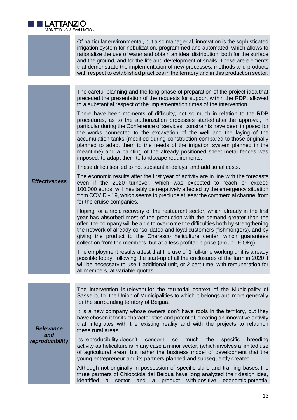

Of particular environmental, but also managerial, innovation is the sophisticated irrigation system for nebulization, programmed and automated, which allows to rationalize the use of water and obtain an ideal distribution, both for the surface and the ground, and for the life and development of snails. These are elements that demonstrate the implementation of new processes, methods and products with respect to established practices in the territory and in this production sector.

The careful planning and the long phase of preparation of the project idea that preceded the presentation of the requests for support within the RDP, allowed to a substantial respect of the implementation times of the intervention.

There have been moments of difficulty, not so much in relation to the RDP procedures, as to the authorization processes started after the approval, in particular during the Conference of services; constraints have been imposed for the works connected to the excavation of the well and the laying of the accumulation tanks (modified during construction compared to those originally planned to adapt them to the needs of the irrigation system planned in the meantime) and a painting of the already positioned sheet metal fences was imposed, to adapt them to landscape requirements.

These difficulties led to not substantial delays, and additional costs.

*Effectiveness* The economic results after the first year of activity are in line with the forecasts even if the 2020 turnover, which was expected to reach or exceed 100,000 euros, will inevitably be negatively affected by the emergency situation from COVID - 19, which seems to preclude at least the commercial channel from for the cruise companies.

> Hoping for a rapid recovery of the restaurant sector, which already in the first year has absorbed most of the production with the demand greater than the offer, the company will be able to overcome the difficulties both by strengthening the network of already consolidated and loyal customers (fishmongers), and by giving the product to the Cherasco heliculture center, which guarantees collection from the members, but at a less profitable price (around  $\epsilon$  5/kg).

> The employment results attest that the use of 1 full-time working unit is already possible today; following the start-up of all the enclosures of the farm in 2020 it will be necessary to use 1 additional unit, or 2 part-time, with remuneration for all members, at variable quotas.

> The intervention is relevant for the territorial context of the Municipality of Sassello, for the Union of Municipalities to which it belongs and more generally for the surrounding territory of Beigua.

> It is a new company whose owners don't have roots in the territory, but they have chosen it for its characteristics and potential, creating an innovative activity that integrates with the existing reality and with the projects to relaunch these rural areas.

> Its reproducibility doesn't concern so much the specific breeding activity as heliculture is in any case a minor sector, (which involves a limited use of agricultural area), but rather the business model of development that the young entrepreneur and its partners planned and subsequently created.

> Although not originally in possession of specific skills and training bases, the three partners of Chiocciola del Beigua have long analyzed their design idea, identified a sector and a product with positive economic potential

*Relevance and reproducibility*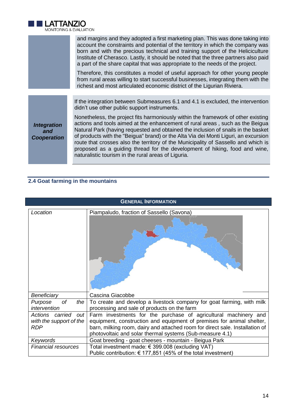

|                                                 | and margins and they adopted a first marketing plan. This was done taking into<br>account the constraints and potential of the territory in which the company was<br>born and with the precious technical and training support of the Heliciculture<br>Institute of Cherasco. Lastly, it should be noted that the three partners also paid<br>a part of the share capital that was appropriate to the needs of the project.                                                                                                                                               |
|-------------------------------------------------|---------------------------------------------------------------------------------------------------------------------------------------------------------------------------------------------------------------------------------------------------------------------------------------------------------------------------------------------------------------------------------------------------------------------------------------------------------------------------------------------------------------------------------------------------------------------------|
|                                                 | Therefore, this constitutes a model of useful approach for other young people<br>from rural areas willing to start successful businesses, integrating them with the<br>richest and most articulated economic district of the Ligurian Riviera.                                                                                                                                                                                                                                                                                                                            |
|                                                 |                                                                                                                                                                                                                                                                                                                                                                                                                                                                                                                                                                           |
|                                                 | If the integration between Submeasures 6.1 and 4.1 is excluded, the intervention<br>didn't use other public support instruments.                                                                                                                                                                                                                                                                                                                                                                                                                                          |
| <b>Integration</b><br>and<br><b>Cooperation</b> | Nonetheless, the project fits harmoniously within the framework of other existing<br>actions and tools aimed at the enhancement of rural areas, such as the Beigua<br>Natural Park (having requested and obtained the inclusion of snails in the basket<br>of products with the "Beigua" brand) or the Alta Via dei Monti Liguri, an excursion<br>route that crosses also the territory of the Municipality of Sassello and which is<br>proposed as a guiding thread for the development of hiking, food and wine,<br>naturalistic tourism in the rural areas of Liguria. |

# <span id="page-14-0"></span>**2.4 Goat farming in the mountains**

| <b>GENERAL INFORMATION</b>                                        |                                                                                                                                                                                                                                                                                      |  |
|-------------------------------------------------------------------|--------------------------------------------------------------------------------------------------------------------------------------------------------------------------------------------------------------------------------------------------------------------------------------|--|
| Location                                                          | Piampaludo, fraction of Sassello (Savona)                                                                                                                                                                                                                                            |  |
| Beneficiary                                                       | Cascina Giacobbe                                                                                                                                                                                                                                                                     |  |
| оf<br>the<br>Purpose<br>intervention                              | To create and develop a livestock company for goat farming, with milk<br>processing and sale of products on the farm                                                                                                                                                                 |  |
| Actions carried<br>out  <br>with the support of the<br><b>RDP</b> | Farm investments for the purchase of agricultural machinery and<br>equipment, construction and equipment of premises for animal shelter,<br>barn, milking room, dairy and attached room for direct sale. Installation of<br>photovoltaic and solar thermal systems (Sub-measure 4.1) |  |
| Keywords                                                          | Goat breeding - goat cheeses - mountain - Beigua Park                                                                                                                                                                                                                                |  |
| <b>Financial resources</b>                                        | Total investment made: € 399.008 (excluding VAT)<br>Public contribution: € 177,851 (45% of the total investment)                                                                                                                                                                     |  |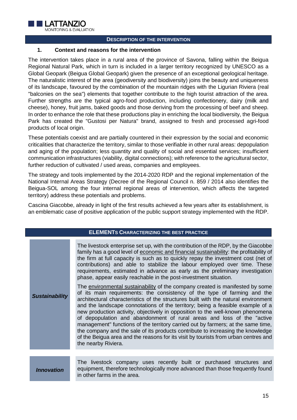

#### **DESCRIPTION OF THE INTERVENTION**

## **1. Context and reasons for the intervention**

The intervention takes place in a rural area of the province of Savona, falling within the Beigua Regional Natural Park, which in turn is included in a larger territory recognized by UNESCO as a Global Geopark (Beigua Global Geopark) given the presence of an exceptional geological heritage. The naturalistic interest of the area (geodiversity and biodiversity) joins the beauty and uniqueness of its landscape, favoured by the combination of the mountain ridges with the Ligurian Riviera (real "balconies on the sea") elements that together contribute to the high tourist attraction of the area. Further strengths are the typical agro-food production, including confectionery, dairy (milk and cheese), honey, fruit jams, baked goods and those deriving from the processing of beef and sheep. In order to enhance the role that these productions play in enriching the local biodiversity, the Beigua Park has created the "Gustosi per Natura" brand, assigned to fresh and processed agri-food products of local origin.

These potentials coexist and are partially countered in their expression by the social and economic criticalities that characterize the territory, similar to those verifiable in other rural areas: depopulation and aging of the population; less quantity and quality of social and essential services; insufficient communication infrastructures (viability, digital connections); with reference to the agricultural sector, further reduction of cultivated / used areas, companies and employees.

The strategy and tools implemented by the 2014-2020 RDP and the regional implementation of the National Internal Areas Strategy (Decree of the Regional Council n. 859 / 2014 also identifies the Beigua-SOL among the four internal regional areas of intervention, which affects the targeted territory) address these potentials and problems.

Cascina Giacobbe, already in light of the first results achieved a few years after its establishment, is an emblematic case of positive application of the public support strategy implemented with the RDP.

| <b>ELEMENTS CHARACTERIZING THE BEST PRACTICE</b> |                                                                                                                                                                                                                                                                                                                                                                                                                                                                                                                                                                                                                                                                                                                                                                                                                                                                                                                                                                                                                                                                                                                                                                                                                                                                                          |
|--------------------------------------------------|------------------------------------------------------------------------------------------------------------------------------------------------------------------------------------------------------------------------------------------------------------------------------------------------------------------------------------------------------------------------------------------------------------------------------------------------------------------------------------------------------------------------------------------------------------------------------------------------------------------------------------------------------------------------------------------------------------------------------------------------------------------------------------------------------------------------------------------------------------------------------------------------------------------------------------------------------------------------------------------------------------------------------------------------------------------------------------------------------------------------------------------------------------------------------------------------------------------------------------------------------------------------------------------|
| <b>Sustainability</b>                            | The livestock enterprise set up, with the contribution of the RDP, by the Giacobbe<br>family has a good level of economic and financial sustainability: the profitability of<br>the firm at full capacity is such as to quickly repay the investment cost (net of<br>contributions) and able to stabilize the labour employed over time. These<br>requirements, estimated in advance as early as the preliminary investigation<br>phase, appear easily reachable in the post-investment situation.<br>The environmental sustainability of the company created is manifested by some<br>of its main requirements: the consistency of the type of farming and the<br>architectural characteristics of the structures built with the natural environment<br>and the landscape connotations of the territory; being a feasible example of a<br>new production activity, objectively in opposition to the well-known phenomena<br>of depopulation and abandonment of rural areas and loss of the "active<br>management" functions of the territory carried out by farmers; at the same time,<br>the company and the sale of its products contribute to increasing the knowledge<br>of the Beigua area and the reasons for its visit by tourists from urban centres and<br>the nearby Riviera. |
|                                                  |                                                                                                                                                                                                                                                                                                                                                                                                                                                                                                                                                                                                                                                                                                                                                                                                                                                                                                                                                                                                                                                                                                                                                                                                                                                                                          |
| <i><b>Innovation</b></i>                         | The livestock company uses recently built or purchased structures and<br>equipment, therefore technologically more advanced than those frequently found<br>in other farms in the area.                                                                                                                                                                                                                                                                                                                                                                                                                                                                                                                                                                                                                                                                                                                                                                                                                                                                                                                                                                                                                                                                                                   |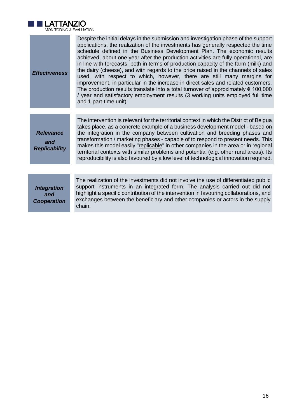

| <b>Effectiveness</b>                            | Despite the initial delays in the submission and investigation phase of the support<br>applications, the realization of the investments has generally respected the time<br>schedule defined in the Business Development Plan. The economic results<br>achieved, about one year after the production activities are fully operational, are<br>in line with forecasts, both in terms of production capacity of the farm (milk) and<br>the dairy (cheese), and with regards to the price raised in the channels of sales<br>used, with respect to which, however, there are still many margins for<br>improvement, in particular in the increase in direct sales and related customers.<br>The production results translate into a total turnover of approximately $\epsilon$ 100,000<br>/ year and satisfactory employment results (3 working units employed full time<br>and 1 part-time unit). |
|-------------------------------------------------|-------------------------------------------------------------------------------------------------------------------------------------------------------------------------------------------------------------------------------------------------------------------------------------------------------------------------------------------------------------------------------------------------------------------------------------------------------------------------------------------------------------------------------------------------------------------------------------------------------------------------------------------------------------------------------------------------------------------------------------------------------------------------------------------------------------------------------------------------------------------------------------------------|
|                                                 |                                                                                                                                                                                                                                                                                                                                                                                                                                                                                                                                                                                                                                                                                                                                                                                                                                                                                                 |
| <b>Relevance</b><br>and<br><b>Replicability</b> | The intervention is relevant for the territorial context in which the District of Beigua<br>takes place, as a concrete example of a business development model - based on<br>the integration in the company between cultivation and breeding phases and<br>transformation / marketing phases - capable of to respond to present needs. This<br>makes this model easily "replicable" in other companies in the area or in regional<br>territorial contexts with similar problems and potential (e.g. other rural areas). Its<br>reproducibility is also favoured by a low level of technological innovation required.                                                                                                                                                                                                                                                                            |
|                                                 |                                                                                                                                                                                                                                                                                                                                                                                                                                                                                                                                                                                                                                                                                                                                                                                                                                                                                                 |
| <b>Integration</b><br>and<br><b>Cooperation</b> | The realization of the investments did not involve the use of differentiated public<br>support instruments in an integrated form. The analysis carried out did not<br>highlight a specific contribution of the intervention in favouring collaborations, and<br>exchanges between the beneficiary and other companies or actors in the supply<br>chain.                                                                                                                                                                                                                                                                                                                                                                                                                                                                                                                                         |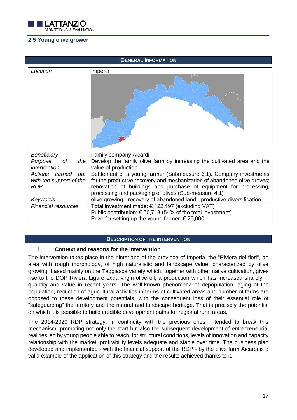

# <span id="page-17-0"></span>**2.5 Young olive grower**

| <b>GENERAL INFORMATION</b>                                        |                                                                                                                                                                                                                                                                             |
|-------------------------------------------------------------------|-----------------------------------------------------------------------------------------------------------------------------------------------------------------------------------------------------------------------------------------------------------------------------|
| Location                                                          | Imperia                                                                                                                                                                                                                                                                     |
|                                                                   |                                                                                                                                                                                                                                                                             |
| Beneficiary                                                       | Family company Aicardi                                                                                                                                                                                                                                                      |
| of<br>the<br>Purpose<br>intervention                              | Develop the family olive farm by increasing the cultivated area and the<br>value of production                                                                                                                                                                              |
| Actions carried<br>out  <br>with the support of the<br><b>RDP</b> | Settlement of a young farmer (Submeasure 6.1). Company investments<br>for the productive recovery and mechanization of abandoned olive groves;<br>renovation of buildings and purchase of equipment for processing,<br>processing and packaging of olives (Sub-measure 4.1) |
| Keywords                                                          | olive growing - recovery of abandoned land - productive diversification                                                                                                                                                                                                     |
| <b>Financial resources</b>                                        | Total investment made: € 122,197 (excluding VAT)<br>Public contribution: € 50,713 (54% of the total investment)<br>Prize for setting up the young farmer: $\epsilon$ 26,000                                                                                                 |

## **DESCRIPTION OF THE INTERVENTION**

## **1. Context and reasons for the intervention**

The intervention takes place in the hinterland of the province of Imperia, the "Riviera dei fiori", an area with rough morphology, of high naturalistic and landscape value, characterized by olive growing, based mainly on the Taggiasca variety which, together with other native cultivation, gives rise to the DOP Riviera Ligure extra virgin olive oil, a production which has increased sharply in quantity and value in recent years. The well-known phenomena of depopulation, aging of the population, reduction of agricultural activities in terms of cultivated areas and number of farms are opposed to these development potentials, with the consequent loss of their essential role of "safeguarding" the territory and the natural and landscape heritage. That is precisely the potential on which it is possible to build credible development paths for regional rural areas.

The 2014-2020 RDP strategy, in continuity with the previous ones, intended to break this mechanism, promoting not only the start but also the subsequent development of entrepreneurial realities led by young people able to reach, for structural conditions, levels of innovation and capacity relationship with the market, profitability levels adequate and stable over time. The business plan developed and implemented - with the financial support of the RDP - by the olive farm Aicardi is a valid example of the application of this strategy and the results achieved thanks to it.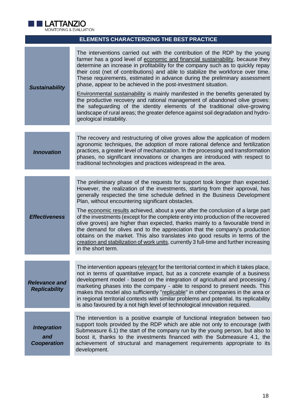

| MONITORING & EVALUATION                         |                                                                                                                                                                                                                                                                                                                                                                                                                                                                                                                                                                                                                                                                                                                                                                                                                                                           |
|-------------------------------------------------|-----------------------------------------------------------------------------------------------------------------------------------------------------------------------------------------------------------------------------------------------------------------------------------------------------------------------------------------------------------------------------------------------------------------------------------------------------------------------------------------------------------------------------------------------------------------------------------------------------------------------------------------------------------------------------------------------------------------------------------------------------------------------------------------------------------------------------------------------------------|
|                                                 | <b>ELEMENTS CHARACTERIZING THE BEST PRACTICE</b>                                                                                                                                                                                                                                                                                                                                                                                                                                                                                                                                                                                                                                                                                                                                                                                                          |
| <b>Sustainability</b>                           | The interventions carried out with the contribution of the RDP by the young<br>farmer has a good level of economic and financial sustainability, because they<br>determine an increase in profitability for the company such as to quickly repay<br>their cost (net of contributions) and able to stabilize the workforce over time.<br>These requirements, estimated in advance during the preliminary assessment<br>phase, appear to be achieved in the post-investment situation.<br><b>Environmental sustainability is mainly manifested in the benefits generated by</b><br>the productive recovery and rational management of abandoned olive groves:<br>the safeguarding of the identity elements of the traditional olive-growing<br>landscape of rural areas; the greater defence against soil degradation and hydro-<br>geological instability. |
|                                                 |                                                                                                                                                                                                                                                                                                                                                                                                                                                                                                                                                                                                                                                                                                                                                                                                                                                           |
| <b>Innovation</b>                               | The recovery and restructuring of olive groves allow the application of modern<br>agronomic techniques, the adoption of more rational defence and fertilization<br>practices, a greater level of mechanization. In the processing and transformation<br>phases, no significant innovations or changes are introduced with respect to<br>traditional technologies and practices widespread in the area.                                                                                                                                                                                                                                                                                                                                                                                                                                                    |
|                                                 |                                                                                                                                                                                                                                                                                                                                                                                                                                                                                                                                                                                                                                                                                                                                                                                                                                                           |
| <b>Effectiveness</b>                            | The preliminary phase of the requests for support took longer than expected.<br>However, the realization of the investments, starting from their approval, has<br>generally respected the time schedule defined in the Business Development<br>Plan, without encountering significant obstacles.<br>The economic results achieved, about a year after the conclusion of a large part<br>of the investments (except for the complete entry into production of the recovered<br>olive groves) are higher than expected, thanks mainly to a favourable trend in<br>the demand for olives and to the appreciation that the company's production<br>obtains on the market. This also translates into good results in terms of the<br>creation and stabilization of work units, currently 3 full-time and further increasing<br>in the short term.              |
|                                                 |                                                                                                                                                                                                                                                                                                                                                                                                                                                                                                                                                                                                                                                                                                                                                                                                                                                           |
| <b>Relevance and</b><br><b>Replicability</b>    | The intervention appears relevant for the territorial context in which it takes place,<br>not in terms of quantitative impact, but as a concrete example of a business<br>development model - based on the integration of agricultural and processing /<br>marketing phases into the company - able to respond to present needs. This<br>makes this model also sufficiently "replicable" in other companies in the area or<br>in regional territorial contexts with similar problems and potential. Its replicability<br>is also favoured by a not high level of technological innovation required.                                                                                                                                                                                                                                                       |
| <b>Integration</b><br>and<br><b>Cooperation</b> | The intervention is a positive example of functional integration between two<br>support tools provided by the RDP which are able not only to encourage (with<br>Submeasure 6.1) the start of the company run by the young person, but also to<br>boost it, thanks to the investments financed with the Submeasure 4.1, the<br>achievement of structural and management requirements appropriate to its<br>development.                                                                                                                                                                                                                                                                                                                                                                                                                                    |
|                                                 |                                                                                                                                                                                                                                                                                                                                                                                                                                                                                                                                                                                                                                                                                                                                                                                                                                                           |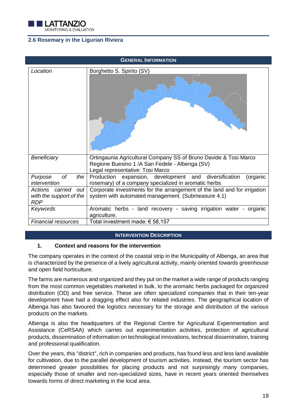

# <span id="page-19-0"></span>**2.6 Rosemary in the Ligurian Riviera**

| <b>GENERAL INFORMATION</b>                                   |                                                                                                                                                         |
|--------------------------------------------------------------|---------------------------------------------------------------------------------------------------------------------------------------------------------|
| Location                                                     | Borghetto S. Spirito (SV)                                                                                                                               |
| Beneficiary                                                  | Ortingaunia Agricultural Company SS of Bruno Davide & Tosi Marco<br>Regione Buesino 1 / A San Fedele - Albenga (SV)<br>Legal representative: Tosi Marco |
| of<br>the<br>Purpose<br>intervention                         | Production expansion, development and diversification<br>(organic<br>rosemary) of a company specialized in aromatic herbs                               |
| Actions carried out<br>with the support of the<br><b>RDP</b> | Corporate investments for the arrangement of the land and for irrigation<br>system with automated management. (Submeasure 4.1)                          |
| Keywords                                                     | Aromatic herbs - land recovery - saving irrigation water - organic<br>agriculture.                                                                      |
| <b>Financial resources</b>                                   | Total investment made: € 58,157                                                                                                                         |

#### **INTERVENTION DESCRIPTION**

## **1. Context and reasons for the intervention**

The company operates in the context of the coastal strip in the Municipality of Albenga, an area that is characterized by the presence of a lively agricultural activity, mainly oriented towards greenhouse and open field horticulture.

The farms are numerous and organized and they put on the market a wide range of products ranging from the most common vegetables marketed in bulk, to the aromatic herbs packaged for organized distribution (OD) and free service. These are often specialized companies that in their ten-year development have had a dragging effect also for related industries. The geographical location of Albenga has also favoured the logistics necessary for the storage and distribution of the various products on the markets.

Albenga is also the headquarters of the Regional Centre for Agricultural Experimentation and Assistance (CeRSAA) which carries out experimentation activities, protection of agricultural products, dissemination of information on technological innovations, technical dissemination, training and professional qualification.

Over the years, this "district", rich in companies and products, has found less and less land available for cultivation, due to the parallel development of tourism activities. Instead, the tourism sector has determined greater possibilities for placing products and not surprisingly many companies, especially those of smaller and non-specialized sizes, have in recent years oriented themselves towards forms of direct marketing in the local area.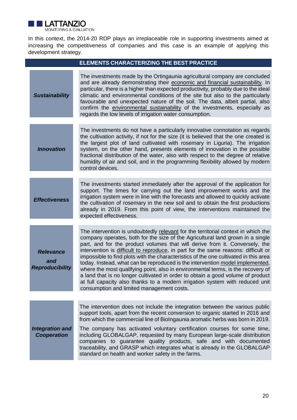

In this context, the 2014-20 RDP plays an irreplaceable role in supporting investments aimed at increasing the competitiveness of companies and this case is an example of applying this development strategy.

|                                                   | <b>ELEMENTS CHARACTERIZING THE BEST PRACTICE</b>                                                                                                                                                                                                                                                                                                                                                                                                                                                                                                                                                                                                                                                                                                                                                                              |
|---------------------------------------------------|-------------------------------------------------------------------------------------------------------------------------------------------------------------------------------------------------------------------------------------------------------------------------------------------------------------------------------------------------------------------------------------------------------------------------------------------------------------------------------------------------------------------------------------------------------------------------------------------------------------------------------------------------------------------------------------------------------------------------------------------------------------------------------------------------------------------------------|
| <b>Sustainability</b>                             | The investments made by the Ortingaunia agricultural company are concluded<br>and are already demonstrating their economic and financial sustainability. In<br>particular, there is a higher than expected productivity, probably due to the ideal<br>climatic and environmental conditions of the site but also to the particularly<br>favourable and unexpected nature of the soil. The data, albeit partial, also<br>confirm the environmental sustainability of the investments, especially as<br>regards the low levels of irrigation water consumption.                                                                                                                                                                                                                                                                 |
| <b>Innovation</b>                                 | The investments do not have a particularly innovative connotation as regards<br>the cultivation activity, if not for the size (it is believed that the one created is<br>the largest plot of land cultivated with rosemary in Liguria). The irrigation<br>system, on the other hand, presents elements of innovation in the possible<br>fractional distribution of the water, also with respect to the degree of relative<br>humidity of air and soil, and in the programming flexibility allowed by modern<br>control devices.                                                                                                                                                                                                                                                                                               |
| <b>Effectiveness</b>                              | The investments started immediately after the approval of the application for<br>support. The times for carrying out the land improvement works and the<br>irrigation system were in line with the forecasts and allowed to quickly activate<br>the cultivation of rosemary in the new soil and to obtain the first productions<br>already in 2019. From this point of view, the interventions maintained the<br>expected effectiveness.                                                                                                                                                                                                                                                                                                                                                                                      |
| <b>Relevance</b><br>and<br><b>Reproducibility</b> | The intervention is undoubtedly relevant for the territorial context in which the<br>company operates, both for the size of the Agricultural land grown in a single<br>part, and for the product volumes that will derive from it. Conversely, the<br>intervention is <i>difficult to reproduce</i> , in part for the same reasons: difficult or<br>impossible to find plots with the characteristics of the one cultivated in this area<br>today. Instead, what can be reproduced is the intervention model implemented,<br>where the most qualifying point, also in environmental terms, is the recovery of<br>a land that is no longer cultivated in order to obtain a good volume of product<br>at full capacity also thanks to a modern irrigation system with reduced unit<br>consumption and limited management costs. |
| <b>Integration and</b><br><b>Cooperation</b>      | The intervention does not include the integration between the various public<br>support tools, apart from the recent conversion to organic started in 2016 and<br>from which the commercial line of Biolngaunia aromatic herbs was born in 2019.<br>The company has activated voluntary certification courses for some time,<br>including GLOBALGAP, requested by many European large-scale distribution<br>companies to guarantee quality products, safe and with documented<br>traceability, and GRASP which integrates what is already in the GLOBALGAP<br>standard on health and worker safety in the farms.                                                                                                                                                                                                              |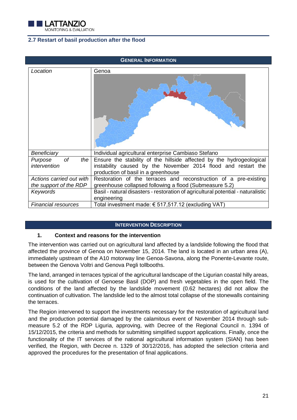

# <span id="page-21-0"></span>**2.7 Restart of basil production after the flood**

| <b>GENERAL INFORMATION</b>           |                                                                                                                                                                              |
|--------------------------------------|------------------------------------------------------------------------------------------------------------------------------------------------------------------------------|
| Location                             | Genoa                                                                                                                                                                        |
| Beneficiary                          | Individual agricultural enterprise Cambiaso Stefano                                                                                                                          |
| of<br>the<br>Purpose<br>intervention | Ensure the stability of the hillside affected by the hydrogeological<br>instability caused by the November 2014 flood and restart the<br>production of basil in a greenhouse |
| Actions carried out with             | Restoration of the terraces and reconstruction of a pre-existing                                                                                                             |
| the support of the RDP               | greenhouse collapsed following a flood (Submeasure 5.2)                                                                                                                      |
| Keywords                             | Basil - natural disasters - restoration of agricultural potential - naturalistic<br>engineering                                                                              |
| <b>Financial resources</b>           | Total investment made: € 517,517.12 (excluding VAT)                                                                                                                          |

## **INTERVENTION DESCRIPTION**

## **1. Context and reasons for the intervention**

The intervention was carried out on agricultural land affected by a landslide following the flood that affected the province of Genoa on November 15, 2014. The land is located in an urban area (A), immediately upstream of the A10 motorway line Genoa-Savona, along the Ponente-Levante route, between the Genova Voltri and Genova Pegli tollbooths.

The land, arranged in terraces typical of the agricultural landscape of the Ligurian coastal hilly areas, is used for the cultivation of Genoese Basil (DOP) and fresh vegetables in the open field. The conditions of the land affected by the landslide movement (0.62 hectares) did not allow the continuation of cultivation. The landslide led to the almost total collapse of the stonewalls containing the terraces.

The Region intervened to support the investments necessary for the restoration of agricultural land and the production potential damaged by the calamitous event of November 2014 through submeasure 5.2 of the RDP Liguria, approving, with Decree of the Regional Council n. 1394 of 15/12/2015, the criteria and methods for submitting simplified support applications. Finally, once the functionality of the IT services of the national agricultural information system (SIAN) has been verified, the Region, with Decree n. 1329 of 30/12/2016, has adopted the selection criteria and approved the procedures for the presentation of final applications.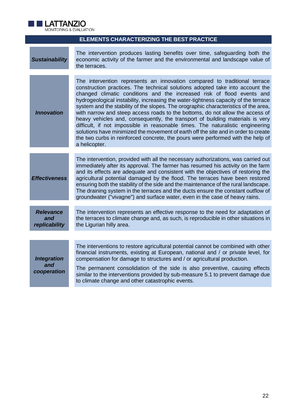

| <b>ELEMENTS CHARACTERIZING THE BEST PRACTICE</b> |                                                                                                                                                                                                                                                                                                                                                                                                                                                                                                                                                                                                                                                                                                                                                                                                                                                                  |
|--------------------------------------------------|------------------------------------------------------------------------------------------------------------------------------------------------------------------------------------------------------------------------------------------------------------------------------------------------------------------------------------------------------------------------------------------------------------------------------------------------------------------------------------------------------------------------------------------------------------------------------------------------------------------------------------------------------------------------------------------------------------------------------------------------------------------------------------------------------------------------------------------------------------------|
| <b>Sustainability</b>                            | The intervention produces lasting benefits over time, safeguarding both the<br>economic activity of the farmer and the environmental and landscape value of<br>the terraces.                                                                                                                                                                                                                                                                                                                                                                                                                                                                                                                                                                                                                                                                                     |
| <b>Innovation</b>                                | The intervention represents an innovation compared to traditional terrace<br>construction practices. The technical solutions adopted take into account the<br>changed climatic conditions and the increased risk of flood events and<br>hydrogeological instability, increasing the water-tightness capacity of the terrace<br>system and the stability of the slopes. The orographic characteristics of the area,<br>with narrow and steep access roads to the bottoms, do not allow the access of<br>heavy vehicles and, consequently, the transport of building materials is very<br>difficult, if not impossible in reasonable times. The naturalistic engineering<br>solutions have minimized the movement of earth off the site and in order to create<br>the two curbs in reinforced concrete, the pours were performed with the help of<br>a helicopter. |
| <b>Effectiveness</b>                             | The intervention, provided with all the necessary authorizations, was carried out<br>immediately after its approval. The farmer has resumed his activity on the farm<br>and its effects are adequate and consistent with the objectives of restoring the<br>agricultural potential damaged by the flood. The terraces have been restored<br>ensuring both the stability of the side and the maintenance of the rural landscape.<br>The draining system in the terraces and the ducts ensure the constant outflow of<br>groundwater ("vivagne") and surface water, even in the case of heavy rains.                                                                                                                                                                                                                                                               |
| <b>Relevance</b><br>and<br>replicability         | The intervention represents an effective response to the need for adaptation of<br>the terraces to climate change and, as such, is reproducible in other situations in<br>the Ligurian hilly area.                                                                                                                                                                                                                                                                                                                                                                                                                                                                                                                                                                                                                                                               |
|                                                  |                                                                                                                                                                                                                                                                                                                                                                                                                                                                                                                                                                                                                                                                                                                                                                                                                                                                  |
| <b>Integration</b><br>and<br>cooperation         | The interventions to restore agricultural potential cannot be combined with other<br>financial instruments, existing at European, national and / or private level, for<br>compensation for damage to structures and / or agricultural production.<br>The permanent consolidation of the side is also preventive, causing effects<br>similar to the interventions provided by sub-measure 5.1 to prevent damage due<br>to climate change and other catastrophic events.                                                                                                                                                                                                                                                                                                                                                                                           |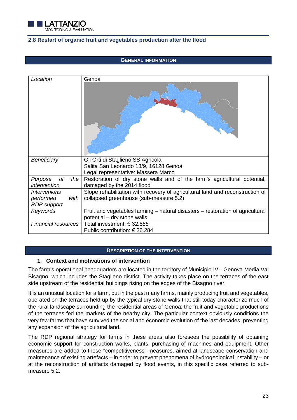

## <span id="page-23-0"></span>**2.8 Restart of organic fruit and vegetables production after the flood**

#### **GENERAL INFORMATION**

| Location                                                | Genoa                                                                                                                   |
|---------------------------------------------------------|-------------------------------------------------------------------------------------------------------------------------|
| Beneficiary                                             | Gli Orti di Staglieno SS Agricola<br>Salita San Leonardo 13/9, 16128 Genoa                                              |
|                                                         | Legal representative: Massera Marco                                                                                     |
| of<br>the<br>Purpose<br>intervention                    | Restoration of dry stone walls and of the farm's agricultural potential,<br>damaged by the 2014 flood                   |
| Intervenions<br>performed<br>with<br><b>RDP</b> support | Slope rehabilitation with recovery of agricultural land and reconstruction of<br>collapsed greenhouse (sub-measure 5.2) |
| Keywords                                                | Fruit and vegetables farming – natural disasters – restoration of agricultural<br>potential - dry stone walls           |
| <b>Financial resources</b>                              | Total investment: € 32.855<br>Public contribution: € 26.284                                                             |

#### **DESCRIPTION OF THE INTERVENTION**

# **1. Context and motivations of intervention**

The farm's operational headquarters are located in the territory of Municipio IV - Genova Media Val Bisagno, which includes the Staglieno district. The activity takes place on the terraces of the east side upstream of the residential buildings rising on the edges of the Bisagno river.

It is an unusual location for a farm, but in the past many farms, mainly producing fruit and vegetables, operated on the terraces held up by the typical dry stone walls that still today characterize much of the rural landscape surrounding the residential areas of Genoa; the fruit and vegetable productions of the terraces fed the markets of the nearby city. The particular context obviously conditions the very few farms that have survived the social and economic evolution of the last decades, preventing any expansion of the agricultural land.

The RDP regional strategy for farms in these areas also foresees the possibility of obtaining economic support for construction works, plants, purchasing of machines and equipment. Other measures are added to these "competitiveness" measures, aimed at landscape conservation and maintenance of existing artefacts – in order to prevent phenomena of hydrogeological instability – or at the reconstruction of artifacts damaged by flood events, in this specific case referred to submeasure 5.2.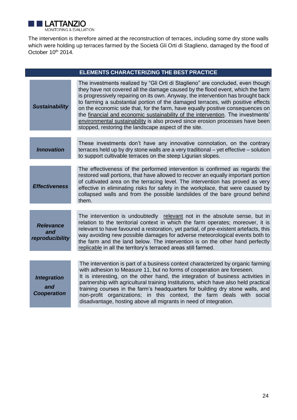

The intervention is therefore aimed at the reconstruction of terraces, including some dry stone walls which were holding up terraces farmed by the Società Gli Orti di Staglieno, damaged by the flood of October 10<sup>th</sup> 2014.

| <b>ELEMENTS CHARACTERIZING THE BEST PRACTICE</b> |                                                                                                                                                                                                                                                                                                                                                                                                                                                                                                                                                                                                                                                       |
|--------------------------------------------------|-------------------------------------------------------------------------------------------------------------------------------------------------------------------------------------------------------------------------------------------------------------------------------------------------------------------------------------------------------------------------------------------------------------------------------------------------------------------------------------------------------------------------------------------------------------------------------------------------------------------------------------------------------|
| <b>Sustainability</b>                            | The investments realized by "Gli Orti di Staglieno" are concluded, even though<br>they have not covered all the damage caused by the flood event, which the farm<br>is progressively repairing on its own. Anyway, the intervention has brought back<br>to farming a substantial portion of the damaged terraces, with positive effects<br>on the economic side that, for the farm, have equally positive consequences on<br>the financial and economic sustainability of the intervention. The investments'<br>environmental sustainability is also proved since erosion processes have been<br>stopped, restoring the landscape aspect of the site. |
| <b>Innovation</b>                                | These investments don't have any innovative connotation, on the contrary<br>terraces held up by dry stone walls are a very traditional - yet effective - solution<br>to support cultivable terraces on the steep Ligurian slopes.                                                                                                                                                                                                                                                                                                                                                                                                                     |
| <b>Effectiveness</b>                             | The effectiveness of the performed intervention is confirmed as regards the<br>restored wall portions, that have allowed to recover an equally important portion<br>of cultivated area on the terracing level. The intervention has proved as very<br>effective in eliminating risks for safety in the workplace, that were caused by<br>collapsed walls and from the possible landslides of the bare ground behind<br>them.                                                                                                                                                                                                                          |
| <b>Relevance</b><br>and<br>reproducibility       | The intervention is undoubtedly relevant not in the absolute sense, but in<br>relation to the territorial context in which the farm operates; moreover, it is<br>relevant to have favoured a restoration, yet partial, of pre-existent artefacts, this<br>way avoiding new possible damages for adverse meteorological events both to<br>the farm and the land below. The intervention is on the other hand perfectly<br>replicable in all the territory's terraced areas still farmed.                                                                                                                                                               |
|                                                  | The intervention is part of a business context characterized by organic farming                                                                                                                                                                                                                                                                                                                                                                                                                                                                                                                                                                       |
| <b>Integration</b><br>and<br><b>Cooperation</b>  | with adhesion to Measure 11, but no forms of cooperation are foreseen.<br>It is interesting, on the other hand, the integration of business activities in<br>partnership with agricultural training Institutions, which have also held practical<br>training courses in the farm's headquarters for building dry stone walls, and<br>non-profit organizations; in this context, the farm deals with social<br>disadvantage, hosting above all migrants in need of integration.                                                                                                                                                                        |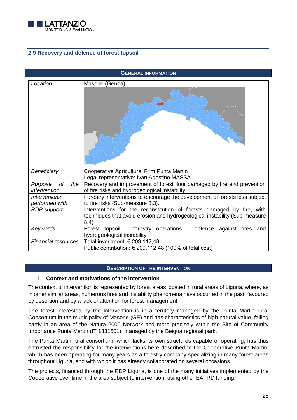

# <span id="page-25-0"></span>**2.9 Recovery and defence of forest topsoil**

| <b>GENERAL INFORMATION</b>                                                |                                                                                                                                                                                                                                                                        |
|---------------------------------------------------------------------------|------------------------------------------------------------------------------------------------------------------------------------------------------------------------------------------------------------------------------------------------------------------------|
| Location                                                                  | Masone (Genoa)                                                                                                                                                                                                                                                         |
| Beneficiary<br>of<br>Purpose<br>the                                       | Cooperative Agricultural Firm Punta Martin<br>Legal representative: Ivan Agostino MASSA<br>Recovery and improvement of forest floor damaged by fire and prevention                                                                                                     |
| intervention                                                              | of fire risks and hydrogeological instability.                                                                                                                                                                                                                         |
| <i><u><b>Intervenions</b></u></i><br>performed with<br><b>RDP</b> support | Forestry interventions to encourage the development of forests less subject<br>to fire risks (Sub-measure 8.3).<br>Interventions for the reconstitution of forests damaged by fire, with<br>techniques that avoid erosion and hydrogeological instability (Sub-measure |
| Keywords                                                                  | 8.4)<br>Forest topsoil – forestry operations – defence against fires and                                                                                                                                                                                               |
|                                                                           | hydrogeological instability                                                                                                                                                                                                                                            |
| <b>Financial resources</b>                                                | Total investment: € 209.112,48<br>Public contribution: $€ 209.112,48 (100% of total cost)$                                                                                                                                                                             |
|                                                                           |                                                                                                                                                                                                                                                                        |

## **DESCRIPTION OF THE INTERVENTION**

## **1. Context and motivations of the intervention**

The context of intervention is represented by forest areas located in rural areas of Liguria, where, as in other similar areas, numerous fires and instability phenomena have occurred in the past, favoured by desertion and by a lack of attention for forest management.

The forest interested by the intervention is in a territory managed by the Punta Martin rural Consortium in the municipality of Masone (GE) and has characteristics of high natural value, falling partly in an area of the Natura 2000 Network and more precisely within the Site of Community Importance Punta Martin (IT 1331501), managed by the Beigua regional park.

The Punta Martin rural consortium, which lacks its own structures capable of operating, has thus entrusted the responsibility for the interventions here described to the Cooperative Punta Martin, which has been operating for many years as a forestry company specializing in many forest areas throughout Liguria, and with which it has already collaborated on several occasions.

The projects, financed through the RDP Liguria, is one of the many initiatives implemented by the Cooperative over time in the area subject to intervention, using other EAFRD funding.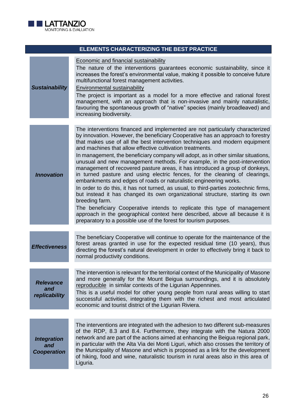

| ELEMENTS CHARACTERIZING THE BEST PRACTICE       |                                                                                                                                                                                                                                                                                                                                                                                                                                                                                                                                                                                                                                                                                                                                                                                                                                                                                                                                                                                                                                                                                                                                                 |
|-------------------------------------------------|-------------------------------------------------------------------------------------------------------------------------------------------------------------------------------------------------------------------------------------------------------------------------------------------------------------------------------------------------------------------------------------------------------------------------------------------------------------------------------------------------------------------------------------------------------------------------------------------------------------------------------------------------------------------------------------------------------------------------------------------------------------------------------------------------------------------------------------------------------------------------------------------------------------------------------------------------------------------------------------------------------------------------------------------------------------------------------------------------------------------------------------------------|
| <b>Sustainability</b>                           | Economic and financial sustainability<br>The nature of the interventions guarantees economic sustainability, since it<br>increases the forest's environmental value, making it possible to conceive future<br>multifunctional forest management activities.<br><b>Environmental sustainability</b><br>The project is important as a model for a more effective and rational forest<br>management, with an approach that is non-invasive and mainly naturalistic,<br>favouring the spontaneous growth of "native" species (mainly broadleaved) and<br>increasing biodiversity.                                                                                                                                                                                                                                                                                                                                                                                                                                                                                                                                                                   |
| <b>Innovation</b>                               | The interventions financed and implemented are not particularly characterized<br>by innovation. However, the beneficiary Cooperative has an approach to forestry<br>that makes use of all the best intervention techniques and modern equipment<br>and machines that allow effective cultivation treatments.<br>In management, the beneficiary company will adopt, as in other similar situations,<br>unusual and new management methods. For example, in the post-intervention<br>management of recovered pasture areas, it has introduced a group of donkeys,<br>in turned pasture and using electric fences, for the cleaning of clearings,<br>embankments and edges of roads or naturalistic engineering works.<br>In order to do this, it has not turned, as usual, to third-parties zootechnic firms,<br>but instead it has changed its own organizational structure, starting its own<br>breeding farm.<br>The beneficiary Cooperative intends to replicate this type of management<br>approach in the geographical context here described, above all because it is<br>preparatory to a possible use of the forest for tourism purposes. |
| <b>Effectiveness</b>                            | The beneficiary Cooperative will continue to operate for the maintenance of the<br>forest areas granted in use for the expected residual time (10 years), thus<br>directing the forest's natural development in order to effectively bring it back to<br>normal productivity conditions.                                                                                                                                                                                                                                                                                                                                                                                                                                                                                                                                                                                                                                                                                                                                                                                                                                                        |
| <b>Relevance</b><br>and<br>replicability        | The intervention is relevant for the territorial context of the Municipality of Masone<br>and more generally for the Mount Beigua surroundings, and it is absolutely<br>reproducible in similar contexts of the Ligurian Appennines.<br>This is a useful model for other young people from rural areas willing to start<br>successful activities, integrating them with the richest and most articulated<br>economic and tourist district of the Ligurian Riviera.                                                                                                                                                                                                                                                                                                                                                                                                                                                                                                                                                                                                                                                                              |
| <b>Integration</b><br>and<br><b>Cooperation</b> | The interventions are integrated with the adhesion to two different sub-measures<br>of the RDP, 8.3 and 8.4. Furthermore, they integrate with the Natura 2000<br>network and are part of the actions aimed at enhancing the Beigua regional park,<br>in particular with the Alta Via dei Monti Liguri, which also crosses the territory of<br>the Municipality of Masone and which is proposed as a link for the development<br>of hiking, food and wine, naturalistic tourism in rural areas also in this area of<br>Liguria.                                                                                                                                                                                                                                                                                                                                                                                                                                                                                                                                                                                                                  |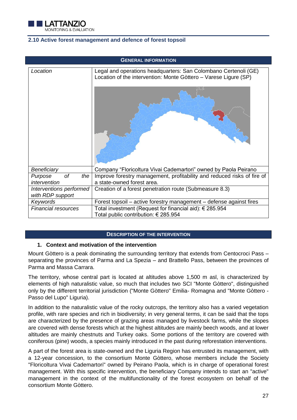

## <span id="page-27-0"></span>**2.10 Active forest management and defence of forest topsoil**

| <b>GENERAL INFORMATION</b>                  |                                                                                                                                     |  |  |  |  |
|---------------------------------------------|-------------------------------------------------------------------------------------------------------------------------------------|--|--|--|--|
| Location                                    | Legal and operations headquarters: San Colombano Certenoli (GE)<br>Location of the intervention: Monte Gòttero - Varese Ligure (SP) |  |  |  |  |
|                                             |                                                                                                                                     |  |  |  |  |
| Beneficiary                                 | Company "Floricoltura Vivai Cademartori" owned by Paola Peirano                                                                     |  |  |  |  |
| of<br>the<br>Purpose                        | Improve forestry management, profitability and reduced risks of fire of                                                             |  |  |  |  |
| intervention                                | a state-owned forest area.                                                                                                          |  |  |  |  |
| Interventions performed<br>with RDP support | Creation of a forest penetration route (Submeasure 8.3)                                                                             |  |  |  |  |
| Keywords                                    | Forest topsoil – active forestry management – defense against fires                                                                 |  |  |  |  |
| <b>Financial resources</b>                  | Total investment (Request for financial aid): € 285.954<br>Total public contribution: € 285.954                                     |  |  |  |  |

## **DESCRIPTION OF THE INTERVENTION**

## **1. Context and motivation of the intervention**

Mount Gòttero is a peak dominating the surrounding territory that extends from Centocroci Pass – separating the provinces of Parma and La Spezia – and Brattello Pass, between the provinces of Parma and Massa Carrara.

The territory, whose central part is located at altitudes above 1,500 m asl, is characterized by elements of high naturalistic value, so much that includes two SCI "Monte Gòttero", distinguished only by the different territorial jurisdiction ("Monte Gòttero" Emilia- Romagna and "Monte Gòttero - Passo del Lupo" Liguria).

In addition to the naturalistic value of the rocky outcrops, the territory also has a varied vegetation profile, with rare species and rich in biodiversity; in very general terms, it can be said that the tops are characterized by the presence of grazing areas managed by livestock farms, while the slopes are covered with dense forests which at the highest altitudes are mainly beech woods, and at lower altitudes are mainly chestnuts and Turkey oaks. Some portions of the territory are covered with coniferous (pine) woods, a species mainly introduced in the past during reforestation interventions.

A part of the forest area is state-owned and the Liguria Region has entrusted its management, with a 12-year concession, to the consortium Monte Gòttero, whose members include the Society "Floricoltura Vivai Cademartori" owned by Peirano Paola, which is in charge of operational forest management. With this specific intervention, the beneficiary Company intends to start an "active" management in the context of the multifunctionality of the forest ecosystem on behalf of the consortium Monte Gòttero.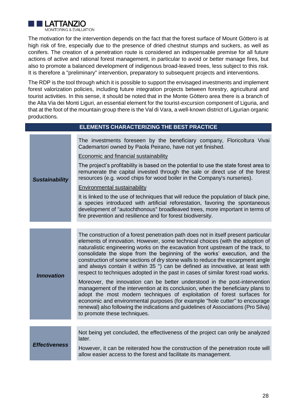

The motivation for the intervention depends on the fact that the forest surface of Mount Gòttero is at high risk of fire, especially due to the presence of dried chestnut stumps and suckers, as well as conifers. The creation of a penetration route is considered an indispensable premise for all future actions of active and rational forest management, in particular to avoid or better manage fires, but also to promote a balanced development of indigenous broad-leaved trees, less subject to this risk. It is therefore a "preliminary" intervention, preparatory to subsequent projects and interventions.

The RDP is the tool through which it is possible to support the envisaged investments and implement forest valorization policies, including future integration projects between forestry, agricultural and tourist activities. In this sense, it should be noted that in the Monte Gòttero area there is a branch of the Alta Via dei Monti Liguri, an essential element for the tourist-excursion component of Liguria, and that at the foot of the mountain group there is the Val di Vara, a well-known district of Ligurian organic productions.

|                       | <b>ELEMENTS CHARACTERIZING THE BEST PRACTICE</b>                                                                                                                                                                                                                                                                                                                                                                                                                                                                                                                                               |
|-----------------------|------------------------------------------------------------------------------------------------------------------------------------------------------------------------------------------------------------------------------------------------------------------------------------------------------------------------------------------------------------------------------------------------------------------------------------------------------------------------------------------------------------------------------------------------------------------------------------------------|
|                       | The investments foreseen by the beneficiary company, Floricoltura Vivai<br>Cademartori owned by Paola Peirano, have not yet finished.                                                                                                                                                                                                                                                                                                                                                                                                                                                          |
|                       | <b>Economic and financial sustainability</b>                                                                                                                                                                                                                                                                                                                                                                                                                                                                                                                                                   |
| <b>Sustainability</b> | The project's profitability is based on the potential to use the state forest area to<br>remunerate the capital invested through the sale or direct use of the forest<br>resources (e.g. wood chips for wood boiler in the Company's nurseries).                                                                                                                                                                                                                                                                                                                                               |
|                       | <b>Environmental sustainability</b>                                                                                                                                                                                                                                                                                                                                                                                                                                                                                                                                                            |
|                       | It is linked to the use of techniques that will reduce the population of black pine,<br>a species introduced with artificial reforestation, favoring the spontaneous<br>development of "autochthonous" broadleaved trees, more important in terms of<br>fire prevention and resilience and for forest biodiversity.                                                                                                                                                                                                                                                                            |
|                       |                                                                                                                                                                                                                                                                                                                                                                                                                                                                                                                                                                                                |
| <b>Innovation</b>     | The construction of a forest penetration path does not in itself present particular<br>elements of innovation. However, some technical choices (with the adoption of<br>naturalistic engineering works on the excavation front upstream of the track, to<br>consolidate the slope from the beginning of the works' execution, and the<br>construction of some sections of dry stone walls to reduce the escarpment angle<br>and always contain it within 35 °) can be defined as innovative, at least with<br>respect to techniques adopted in the past in cases of similar forest road works. |
|                       | Moreover, the innovation can be better understood in the post-intervention<br>management of the intervention at its conclusion, when the beneficiary plans to<br>adopt the most modern techniques of exploitation of forest surfaces for<br>economic and environmental purposes (for example "hole cutter" to encourage<br>renewal) also following the indications and guidelines of Associations (Pro Silva)<br>to promote these techniques.                                                                                                                                                  |
|                       |                                                                                                                                                                                                                                                                                                                                                                                                                                                                                                                                                                                                |
| <b>Effectiveness</b>  | Not being yet concluded, the effectiveness of the project can only be analyzed<br>later.                                                                                                                                                                                                                                                                                                                                                                                                                                                                                                       |
|                       | However, it can be reiterated how the construction of the penetration route will<br>allow easier access to the forest and facilitate its management.                                                                                                                                                                                                                                                                                                                                                                                                                                           |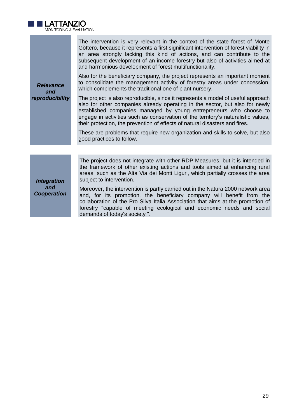

The intervention is very relevant in the context of the state forest of Monte Gòttero, because it represents a first significant intervention of forest viability in an area strongly lacking this kind of actions, and can contribute to the subsequent development of an income forestry but also of activities aimed at and harmonious development of forest multifunctionality.

Also for the beneficiary company, the project represents an important moment to consolidate the management activity of forestry areas under concession, which complements the traditional one of plant nursery.

The project is also reproducible, since it represents a model of useful approach also for other companies already operating in the sector, but also for newly established companies managed by young entrepreneurs who choose to engage in activities such as conservation of the territory's naturalistic values, their protection, the prevention of effects of natural disasters and fires.

These are problems that require new organization and skills to solve, but also good practices to follow.

*Integration and Cooperation* 

*Relevance and reproducibility*

> The project does not integrate with other RDP Measures, but it is intended in the framework of other existing actions and tools aimed at enhancing rural areas, such as the Alta Via dei Monti Liguri, which partially crosses the area subject to intervention.

> Moreover, the intervention is partly carried out in the Natura 2000 network area and, for its promotion, the beneficiary company will benefit from the collaboration of the Pro Silva Italia Association that aims at the promotion of forestry "capable of meeting ecological and economic needs and social demands of today's society ".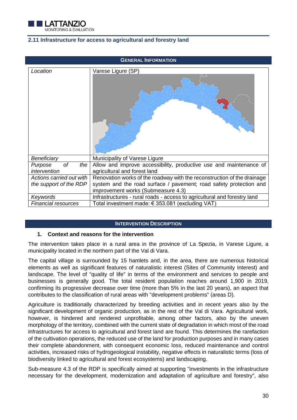

## <span id="page-30-0"></span>**2.11 Infrastructure for access to agricultural and forestry land**

| <b>GENERAL INFORMATION</b>           |                                                                                                          |  |  |  |  |
|--------------------------------------|----------------------------------------------------------------------------------------------------------|--|--|--|--|
| Location                             | Varese Ligure (SP)                                                                                       |  |  |  |  |
|                                      |                                                                                                          |  |  |  |  |
| Beneficiary                          | Municipality of Varese Ligure                                                                            |  |  |  |  |
| оf<br>the<br>Purpose<br>intervention | Allow and improve accessibility, productive use and maintenance of<br>agricultural and forest land       |  |  |  |  |
| Actions carried out with             | Renovation works of the roadway with the reconstruction of the drainage                                  |  |  |  |  |
| the support of the RDP               | system and the road surface / pavement; road safety protection and<br>improvement works (Submeasure 4.3) |  |  |  |  |
| Keywords                             | Infrastructures - rural roads - access to agricultural and forestry land                                 |  |  |  |  |
| Financial resources                  | Total investment made: € 353.081 (excluding VAT)                                                         |  |  |  |  |

#### **INTERVENTION DESCRIPTION**

#### **1. Context and reasons for the intervention**

The intervention takes place in a rural area in the province of La Spezia, in Varese Ligure, a municipality located in the northern part of the Val di Vara.

The capital village is surrounded by 15 hamlets and, in the area, there are numerous historical elements as well as significant features of naturalistic interest (Sites of Community Interest) and landscape. The level of "quality of life" in terms of the environment and services to people and businesses is generally good. The total resident population reaches around 1,900 in 2019, confirming its progressive decrease over time (more than 5% in the last 20 years), an aspect that contributes to the classification of rural areas with "development problems" (areas D).

Agriculture is traditionally characterized by breeding activities and in recent years also by the significant development of organic production, as in the rest of the Val di Vara. Agricultural work, however, is hindered and rendered unprofitable, among other factors, also by the uneven morphology of the territory, combined with the current state of degradation in which most of the road infrastructures for access to agricultural and forest land are found. This determines the rarefaction of the cultivation operations, the reduced use of the land for production purposes and in many cases their complete abandonment, with consequent economic loss, reduced maintenance and control activities, increased risks of hydrogeological instability, negative effects in naturalistic terms (loss of biodiversity linked to agricultural and forest ecosystems) and landscaping.

Sub-measure 4.3 of the RDP is specifically aimed at supporting "investments in the infrastructure necessary for the development, modernization and adaptation of agriculture and forestry", also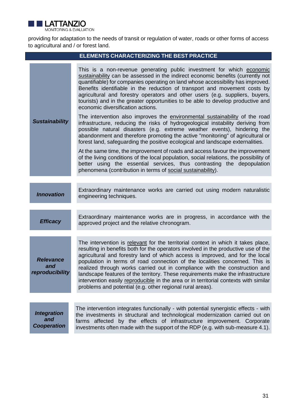

providing for adaptation to the needs of transit or regulation of water, roads or other forms of access to agricultural and / or forest land.

| <b>ELEMENTS CHARACTERIZING THE BEST PRACTICE</b> |                                                                                                                                                                                                                                                                                                                                                                                                                                                                                                                                                                                                                                                               |  |  |  |  |  |
|--------------------------------------------------|---------------------------------------------------------------------------------------------------------------------------------------------------------------------------------------------------------------------------------------------------------------------------------------------------------------------------------------------------------------------------------------------------------------------------------------------------------------------------------------------------------------------------------------------------------------------------------------------------------------------------------------------------------------|--|--|--|--|--|
|                                                  | This is a non-revenue generating public investment for which economic<br>sustainability can be assessed in the indirect economic benefits (currently not<br>quantifiable) for companies operating on land whose accessibility has improved.<br>Benefits identifiable in the reduction of transport and movement costs by<br>agricultural and forestry operators and other users (e.g. suppliers, buyers,<br>tourists) and in the greater opportunities to be able to develop productive and<br>economic diversification actions.                                                                                                                              |  |  |  |  |  |
| <b>Sustainability</b>                            | The intervention also improves the environmental sustainability of the road<br>infrastructure, reducing the risks of hydrogeological instability deriving from<br>possible natural disasters (e.g. extreme weather events), hindering the<br>abandonment and therefore promoting the active "monitoring" of agricultural or<br>forest land, safeguarding the positive ecological and landscape externalities.                                                                                                                                                                                                                                                 |  |  |  |  |  |
|                                                  | At the same time, the improvement of roads and access favour the improvement<br>of the living conditions of the local population, social relations, the possibility of<br>better using the essential services, thus contrasting the depopulation<br>phenomena (contribution in terms of social sustainability).                                                                                                                                                                                                                                                                                                                                               |  |  |  |  |  |
|                                                  |                                                                                                                                                                                                                                                                                                                                                                                                                                                                                                                                                                                                                                                               |  |  |  |  |  |
| <b>Innovation</b>                                | Extraordinary maintenance works are carried out using modern naturalistic<br>engineering techniques.                                                                                                                                                                                                                                                                                                                                                                                                                                                                                                                                                          |  |  |  |  |  |
|                                                  |                                                                                                                                                                                                                                                                                                                                                                                                                                                                                                                                                                                                                                                               |  |  |  |  |  |
| <b>Efficacy</b>                                  | Extraordinary maintenance works are in progress, in accordance with the<br>approved project and the relative chronogram.                                                                                                                                                                                                                                                                                                                                                                                                                                                                                                                                      |  |  |  |  |  |
|                                                  |                                                                                                                                                                                                                                                                                                                                                                                                                                                                                                                                                                                                                                                               |  |  |  |  |  |
| <b>Relevance</b><br>and<br>reproducibility       | The intervention is relevant for the territorial context in which it takes place,<br>resulting in benefits both for the operators involved in the productive use of the<br>agricultural and forestry land of which access is improved, and for the local<br>population in terms of road connection of the localities concerned. This is<br>realized through works carried out in compliance with the construction and<br>landscape features of the territory. These requirements make the infrastructure<br>intervention easily reproducible in the area or in territorial contexts with similar<br>problems and potential (e.g. other regional rural areas). |  |  |  |  |  |
|                                                  |                                                                                                                                                                                                                                                                                                                                                                                                                                                                                                                                                                                                                                                               |  |  |  |  |  |
| <b>Integration</b><br>and<br><b>Cooperation</b>  | The intervention integrates functionally - with potential synergistic effects - with<br>the investments in structural and technological modernization carried out on<br>farms affected by the effects of infrastructure improvement. Corporate<br>investments often made with the support of the RDP (e.g. with sub-measure 4.1).                                                                                                                                                                                                                                                                                                                             |  |  |  |  |  |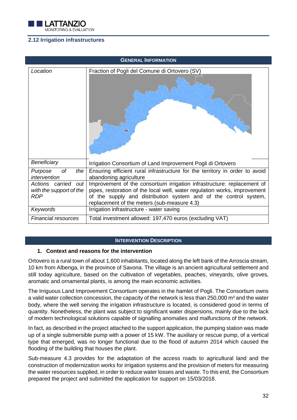

# <span id="page-32-0"></span>**2.12 Irrigation infrastructures**

| <b>GENERAL INFORMATION</b>                                      |                                                                                                                                                                                                                                                                         |  |  |  |  |
|-----------------------------------------------------------------|-------------------------------------------------------------------------------------------------------------------------------------------------------------------------------------------------------------------------------------------------------------------------|--|--|--|--|
| Location                                                        | Fraction of Pogli del Comune di Ortovero (SV)                                                                                                                                                                                                                           |  |  |  |  |
| Beneficiary                                                     | Irrigation Consortium of Land Improvement Pogli di Ortovero                                                                                                                                                                                                             |  |  |  |  |
| Purpose<br>оf<br>the<br>intervention                            | Ensuring efficient rural infrastructure for the territory in order to avoid<br>abandoning agriculture                                                                                                                                                                   |  |  |  |  |
| Actions carried<br>out<br>with the support of the<br><b>RDP</b> | Improvement of the consortium irrigation infrastructure: replacement of<br>pipes, restoration of the local well, water regulation works, improvement<br>of the supply and distribution system and of the control system,<br>replacement of the meters (sub-measure 4.3) |  |  |  |  |
| Keywords                                                        | Irrigation infrastructure - water saving                                                                                                                                                                                                                                |  |  |  |  |
| <b>Financial resources</b>                                      | Total investment allowed: 197,470 euros (excluding VAT)                                                                                                                                                                                                                 |  |  |  |  |

#### **INTERVENTION DESCRIPTION**

## **1. Context and reasons for the intervention**

Ortovero is a rural town of about 1,600 inhabitants, located along the left bank of the Arroscia stream, 10 km from Albenga, in the province of Savona. The village is an ancient agricultural settlement and still today agriculture, based on the cultivation of vegetables, peaches, vineyards, olive groves, aromatic and ornamental plants, is among the main economic activities.

The Irriguous Land Improvement Consortium operates in the hamlet of Pogli. The Consortium owns a valid water collection concession, the capacity of the network is less than 250,000 m<sup>3</sup> and the water body, where the well serving the irrigation infrastructure is located, is considered good in terms of quantity. Nonetheless, the plant was subject to significant water dispersions, mainly due to the lack of modern technological solutions capable of signalling anomalies and malfunctions of the network.

In fact, as described in the project attached to the support application, the pumping station was made up of a single submersible pump with a power of 15 kW. The auxiliary or rescue pump, of a vertical type that emerged, was no longer functional due to the flood of autumn 2014 which caused the flooding of the building that houses the plant.

Sub-measure 4.3 provides for the adaptation of the access roads to agricultural land and the construction of modernization works for irrigation systems and the provision of meters for measuring the water resources supplied, in order to reduce water losses and waste. To this end, the Consortium prepared the project and submitted the application for support on 15/03/2018.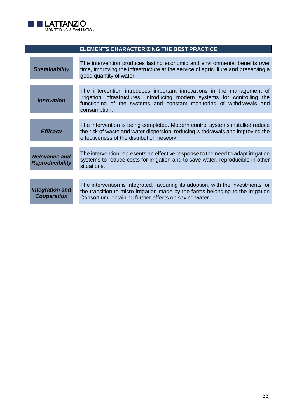

| <b>ELEMENTS CHARACTERIZING THE BEST PRACTICE</b> |                                                                                                                                                                                                                                               |  |  |  |  |  |
|--------------------------------------------------|-----------------------------------------------------------------------------------------------------------------------------------------------------------------------------------------------------------------------------------------------|--|--|--|--|--|
| <b>Sustainability</b>                            | The intervention produces lasting economic and environmental benefits over<br>time, improving the infrastructure at the service of agriculture and preserving a<br>good quantity of water.                                                    |  |  |  |  |  |
| <b>Innovation</b>                                | The intervention introduces important innovations in the management of<br>irrigation infrastructures, introducing modern systems for controlling the<br>functioning of the systems and constant monitoring of withdrawals and<br>consumption. |  |  |  |  |  |
| <b>Efficacy</b>                                  | The intervention is being completed. Modern control systems installed reduce<br>the risk of waste and water dispersion, reducing withdrawals and improving the<br>effectiveness of the distribution network.                                  |  |  |  |  |  |
| <b>Relevance and</b><br><b>Reproducibility</b>   | The intervention represents an effective response to the need to adapt irrigation<br>systems to reduce costs for irrigation and to save water, reproducible in other<br>situations.                                                           |  |  |  |  |  |
| <b>Integration and</b><br><b>Cooperation</b>     | The intervention is integrated, favouring its adoption, with the investments for<br>the transition to micro-irrigation made by the farms belonging to the irrigation<br>Consortium, obtaining further effects on saving water.                |  |  |  |  |  |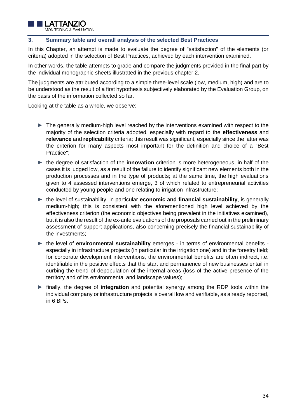

## <span id="page-34-0"></span>**3. Summary table and overall analysis of the selected Best Practices**

In this Chapter, an attempt is made to evaluate the degree of "satisfaction" of the elements (or criteria) adopted in the selection of Best Practices, achieved by each intervention examined.

In other words, the table attempts to grade and compare the judgments provided in the final part by the individual monographic sheets illustrated in the previous chapter 2.

The judgments are attributed according to a simple three-level scale (low, medium, high) and are to be understood as the result of a first hypothesis subjectively elaborated by the Evaluation Group, on the basis of the information collected so far.

Looking at the table as a whole, we observe:

- ► The generally medium-high level reached by the interventions examined with respect to the majority of the selection criteria adopted, especially with regard to the **effectiveness** and **relevance** and **replicability** criteria; this result was significant, especially since the latter was the criterion for many aspects most important for the definition and choice of a "Best Practice";
- ► the degree of satisfaction of the **innovation** criterion is more heterogeneous, in half of the cases it is judged low, as a result of the failure to identify significant new elements both in the production processes and in the type of products; at the same time, the high evaluations given to 4 assessed interventions emerge, 3 of which related to entrepreneurial activities conducted by young people and one relating to irrigation infrastructure;
- ► the level of sustainability, in particular **economic and financial sustainability**, is generally medium-high; this is consistent with the aforementioned high level achieved by the effectiveness criterion (the economic objectives being prevalent in the initiatives examined), but it is also the result of the ex-ante evaluations of the proposals carried out in the preliminary assessment of support applications, also concerning precisely the financial sustainability of the investments;
- ► the level of **environmental sustainability** emerges in terms of environmental benefits especially in infrastructure projects (in particular in the irrigation one) and in the forestry field; for corporate development interventions, the environmental benefits are often indirect, i.e. identifiable in the positive effects that the start and permanence of new businesses entail in curbing the trend of depopulation of the internal areas (loss of the active presence of the territory and of its environmental and landscape values);
- ► finally, the degree of **integration** and potential synergy among the RDP tools within the individual company or infrastructure projects is overall low and verifiable, as already reported, in 6 BPs.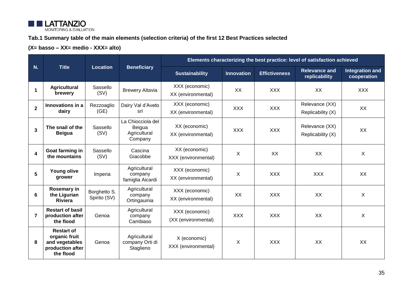

# **Tab.1 Summary table of the main elements (selection criteria) of the first 12 Best Practices selected**

# **(X= basso – XX= medio - XXX= alto)**

|                         | <b>Title</b>                                                                          | Location                     | <b>Beneficiary</b>                                     | Elements characterizing the best practice: level of satisfaction achieved |                   |                      |                                       |                                       |
|-------------------------|---------------------------------------------------------------------------------------|------------------------------|--------------------------------------------------------|---------------------------------------------------------------------------|-------------------|----------------------|---------------------------------------|---------------------------------------|
| N.                      |                                                                                       |                              |                                                        | <b>Sustainability</b>                                                     | <b>Innovation</b> | <b>Effictiveness</b> | <b>Relevance and</b><br>replicability | <b>Integration and</b><br>cooperation |
| 1                       | <b>Agricultural</b><br>brewery                                                        | Sassello<br>(SV)             | <b>Brewery Altavia</b>                                 | XXX (economic)<br>XX (environmental)                                      | XX                | <b>XXX</b>           | XX                                    | <b>XXX</b>                            |
| $\overline{2}$          | Innovations in a<br>dairy                                                             | Rezzoaglio<br>(GE)           | Dairy Val d'Aveto<br>srl                               | XXX (economic)<br>XX (environmental)                                      | <b>XXX</b>        | <b>XXX</b>           | Relevance (XX)<br>Replicability (X)   | XX                                    |
| 3                       | The snail of the<br><b>Beigua</b>                                                     | Sassello<br>(SV)             | La Chiocciola del<br>Beigua<br>Agricultural<br>Company | XX (economic)<br>XX (environmental)                                       | <b>XXX</b>        | <b>XXX</b>           | Relevance (XX)<br>Replicability (X)   | XX                                    |
| $\overline{\mathbf{4}}$ | Goat farming in<br>the mountains                                                      | Sassello<br>(SV)             | Cascina<br>Giacobbe                                    | XX (economic)<br>XXX (environmental)                                      | X                 | XX                   | XX                                    | $\sf X$                               |
| 5                       | <b>Young olive</b><br>grower                                                          | Imperia                      | Agricultural<br>company<br>famiglia Aicardi            | XXX (economic)<br>XX (environmental)                                      | X                 | <b>XXX</b>           | <b>XXX</b>                            | XX                                    |
| 6                       | <b>Rosemary in</b><br>the Ligurian<br><b>Riviera</b>                                  | Borghetto S.<br>Spirito (SV) | Agricultural<br>company<br>Ortingauinia                | XXX (economic)<br>XX (environmental)                                      | XX                | <b>XXX</b>           | XX                                    | X                                     |
| 7                       | <b>Restart of basil</b><br>production after<br>the flood                              | Genoa                        | Agricultural<br>company<br>Cambiaso                    | XXX (economic)<br>(XX (environmental)                                     | <b>XXX</b>        | <b>XXX</b>           | XX                                    | $\sf X$                               |
| 8                       | <b>Restart of</b><br>organic fruit<br>and vegetables<br>production after<br>the flood | Genoa                        | Agricultural<br>company Orti di<br>Staglieno           | X (economic)<br>XXX (environmental)                                       | X                 | <b>XXX</b>           | XX                                    | XX                                    |